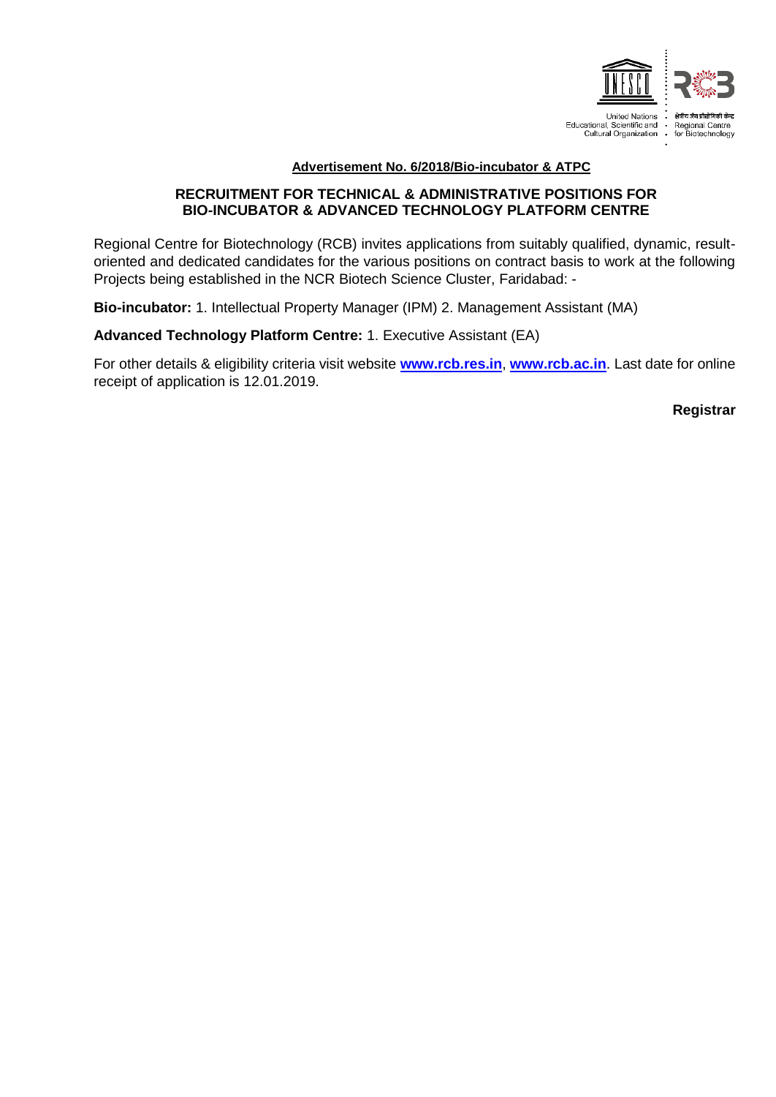

## **Advertisement No. 6/2018/Bio-incubator & ATPC**

## **RECRUITMENT FOR TECHNICAL & ADMINISTRATIVE POSITIONS FOR BIO-INCUBATOR & ADVANCED TECHNOLOGY PLATFORM CENTRE**

Regional Centre for Biotechnology (RCB) invites applications from suitably qualified, dynamic, resultoriented and dedicated candidates for the various positions on contract basis to work at the following Projects being established in the NCR Biotech Science Cluster, Faridabad: -

**Bio-incubator:** 1. Intellectual Property Manager (IPM) 2. Management Assistant (MA)

**Advanced Technology Platform Centre:** 1. Executive Assistant (EA)

For other details & eligibility criteria visit website **[www.rcb.res.in](http://www.rcb.res.in/)**, **[www.rcb.ac.in](http://www.rcb.ac.in/)**. Last date for online receipt of application is 12.01.2019.

 **Registrar**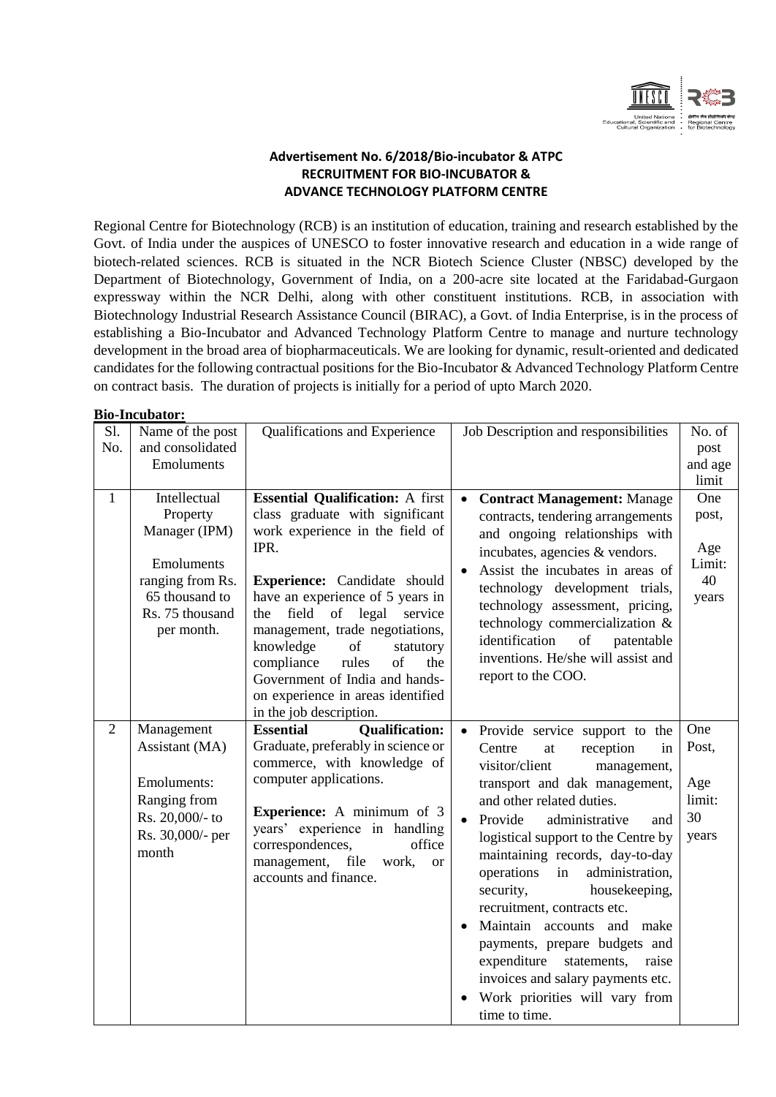

## **Advertisement No. 6/2018/Bio-incubator & ATPC RECRUITMENT FOR BIO-INCUBATOR & ADVANCE TECHNOLOGY PLATFORM CENTRE**

Regional Centre for Biotechnology (RCB) is an institution of education, training and research established by the Govt. of India under the auspices of UNESCO to foster innovative research and education in a wide range of biotech-related sciences. RCB is situated in the NCR Biotech Science Cluster (NBSC) developed by the Department of Biotechnology, Government of India, on a 200-acre site located at the Faridabad-Gurgaon expressway within the NCR Delhi, along with other constituent institutions. RCB, in association with Biotechnology Industrial Research Assistance Council (BIRAC), a Govt. of India Enterprise, is in the process of establishing a Bio-Incubator and Advanced Technology Platform Centre to manage and nurture technology development in the broad area of biopharmaceuticals. We are looking for dynamic, result-oriented and dedicated candidates for the following contractual positions for the Bio-Incubator & Advanced Technology Platform Centre on contract basis. The duration of projects is initially for a period of upto March 2020.

**Bio-Incubator:**

|                | DIU-IIIUUDAUDI (                                                                                                               |                                                                                                                                                                                                                                                                                                                                                                                                                                           |                                                                                                                                                                                                                                                                                                                                                                                                                                                                                                                                                                                    |                                              |
|----------------|--------------------------------------------------------------------------------------------------------------------------------|-------------------------------------------------------------------------------------------------------------------------------------------------------------------------------------------------------------------------------------------------------------------------------------------------------------------------------------------------------------------------------------------------------------------------------------------|------------------------------------------------------------------------------------------------------------------------------------------------------------------------------------------------------------------------------------------------------------------------------------------------------------------------------------------------------------------------------------------------------------------------------------------------------------------------------------------------------------------------------------------------------------------------------------|----------------------------------------------|
| S1.<br>No.     | Name of the post<br>and consolidated<br>Emoluments                                                                             | Qualifications and Experience                                                                                                                                                                                                                                                                                                                                                                                                             | Job Description and responsibilities                                                                                                                                                                                                                                                                                                                                                                                                                                                                                                                                               | No. of<br>post<br>and age<br>limit           |
| $\mathbf{1}$   | Intellectual<br>Property<br>Manager (IPM)<br>Emoluments<br>ranging from Rs.<br>65 thousand to<br>Rs. 75 thousand<br>per month. | <b>Essential Qualification:</b> A first<br>class graduate with significant<br>work experience in the field of<br>IPR.<br>Experience: Candidate should<br>have an experience of 5 years in<br>field<br>of legal<br>service<br>the<br>management, trade negotiations,<br>knowledge<br>of<br>statutory<br>compliance<br>rules<br>of<br>the<br>Government of India and hands-<br>on experience in areas identified<br>in the job description. | <b>Contract Management: Manage</b><br>contracts, tendering arrangements<br>and ongoing relationships with<br>incubates, agencies & vendors.<br>Assist the incubates in areas of<br>technology development trials,<br>technology assessment, pricing,<br>technology commercialization &<br>identification<br>of<br>patentable<br>inventions. He/she will assist and<br>report to the COO.                                                                                                                                                                                           | One<br>post,<br>Age<br>Limit:<br>40<br>years |
| $\overline{2}$ | Management<br>Assistant (MA)<br>Emoluments:<br>Ranging from<br>Rs. 20,000/- to<br>Rs. 30,000/- per<br>month                    | <b>Essential</b><br><b>Qualification:</b><br>Graduate, preferably in science or<br>commerce, with knowledge of<br>computer applications.<br><b>Experience:</b> A minimum of 3<br>years' experience in handling<br>correspondences,<br>office<br>management, file<br>work,<br><sub>or</sub><br>accounts and finance.                                                                                                                       | • Provide service support to the<br>Centre<br>at<br>reception<br>in<br>visitor/client<br>management,<br>transport and dak management,<br>and other related duties.<br>Provide<br>administrative<br>and<br>logistical support to the Centre by<br>maintaining records, day-to-day<br>operations<br>administration,<br>in<br>security,<br>housekeeping,<br>recruitment, contracts etc.<br>Maintain accounts and make<br>payments, prepare budgets and<br>expenditure<br>statements,<br>raise<br>invoices and salary payments etc.<br>Work priorities will vary from<br>time to time. | One<br>Post,<br>Age<br>limit:<br>30<br>years |